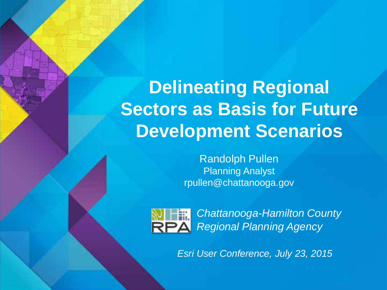## **Delineating Regional Sectors as Basis for Future Development Scenarios**

Randolph Pullen Planning Analyst rpullen@chattanooga.gov



*Chattanooga-Hamilton County Regional Planning Agency*

*Esri User Conference, July 23, 2015*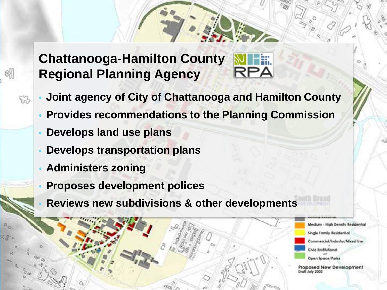## **Chattanooga-Hamilton County Regional Planning Agency**



- **Provides recommendations to the Planning Commission**
- **Develops land use plans**
- **Develops transportation plans**
- **Administers zoning**
- **Proposes development polices**
- **Reviews new subdivisions & other developments**

Medium - High Density Residential Single Family Residential Commercial/Industry/Mixed Use **Clube Anality Noned** Open Space/Parks

roposed New Development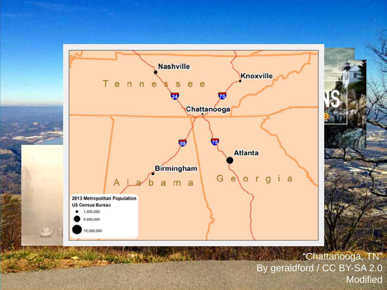

"Chattanooga, TN" By geraldford / CC BY-SA 2.0 **Modified**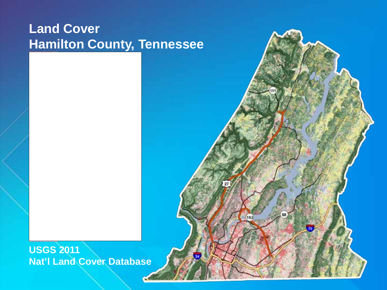## **Land Cover Hamilton County, Tennessee**

153

### **USGS 2011 Nat'l Land Cover Database**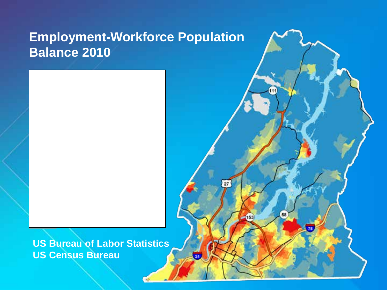### **Employment-Workforce Population Balance 2010**

Œ

58

153

**US Bureau of Labor Statistics US Census Bureau**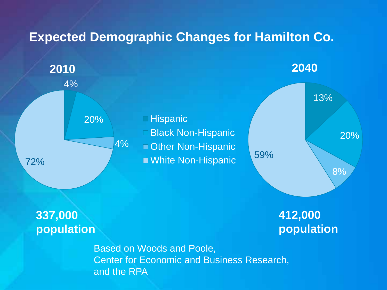### **Expected Demographic Changes for Hamilton Co.**



### **337,000 population**

**412,000 population**

Based on Woods and Poole, Center for Economic and Business Research, and the RPA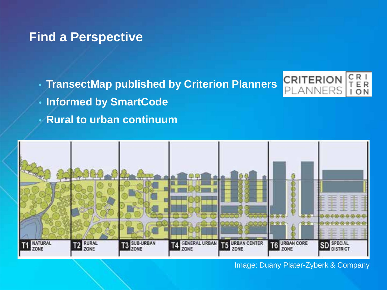### **Find a Perspective**

• **TransectMap published by Criterion Planners**



- **Informed by SmartCode**
- **Rural to urban continuum**



Image: Duany Plater-Zyberk & Company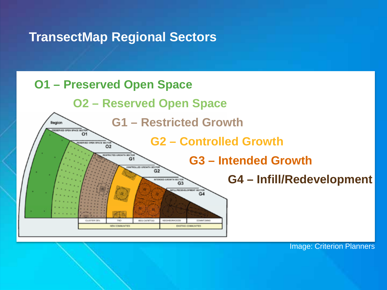### **TransectMap Regional Sectors**



Image: Criterion Planners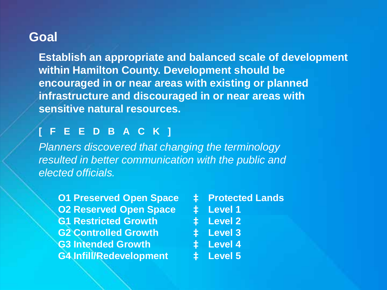### **Goal**

**Establish an appropriate and balanced scale of development within Hamilton County. Development should be encouraged in or near areas with existing or planned infrastructure and discouraged in or near areas with sensitive natural resources.**

### **[FEEDBACK]**

*Planners discovered that changing the terminology resulted in better communication with the public and elected officials.*

- **O1 Preserved Open Space** à **Protected Lands O2 Reserved Open Space** à **Level 1 G1 Restricted Growth** à **Level 2 G2 Controlled Growth** à **Level 3 G3 Intended Growth** à **Level 4 G4 Infill/Redevelopment** à **Level 5**
-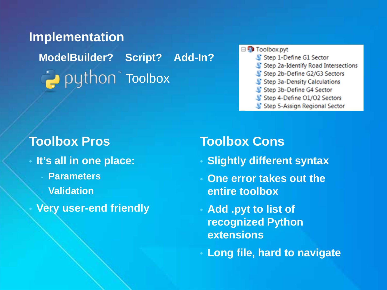**Implementation ModelBuilder? Script? Add-In?** python Toolbox

### **Toolbox Pros**

- **It's all in one place:**
	- **Parameters**
	- **Validation**
	- **Very user-end friendly**

### **Toolbox Cons**

• **Slightly different syntax**

**ED** Toolbox.pyt

Step 1-Define G1 Sector

Step 2a-Identify Road Intersections Step 2b-Define G2/G3 Sectors Step 3a-Density Calculations Step 3b-Define G4 Sector Step 4-Define O1/O2 Sectors Step 5-Assign Regional Sector

- **One error takes out the entire toolbox**
- **Add .pyt to list of recognized Python extensions**
- **Long file, hard to navigate**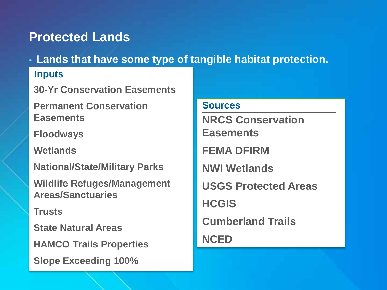### **Protected Lands**

• **Lands that have some type of tangible habitat protection.**

#### **Inputs**

**30-Yr Conservation Easements**

**Permanent Conservation Easements**

**Floodways**

**Wetlands**

**National/State/Military Parks**

**Wildlife Refuges/Management Areas/Sanctuaries**

**Trusts**

**State Natural Areas**

**HAMCO Trails Properties**

**Slope Exceeding 100%**

#### **Sources**

**NRCS Conservation Easements**

**FEMA DFIRM**

**NWI Wetlands**

**USGS Protected Areas**

**HCGIS**

**Cumberland Trails**

**NCED**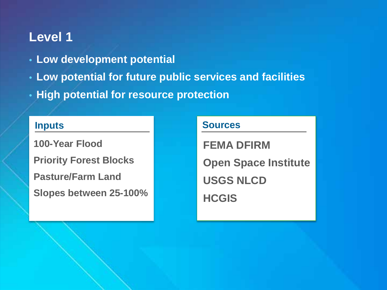- **Low development potential**
- **Low potential for future public services and facilities**
- **High potential for resource protection**

**100-Year Flood Priority Forest Blocks Pasture/Farm Land Slopes between 25-100%**

#### **Inputs Sources**

**FEMA DFIRM Open Space Institute USGS NLCD HCGIS**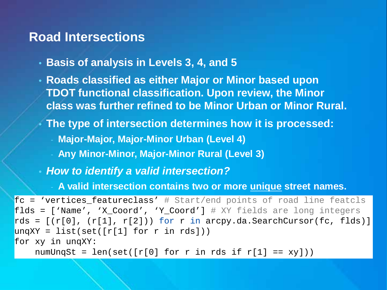### **Road Intersections**

- **Basis of analysis in Levels 3, 4, and 5**
- **Roads classified as either Major or Minor based upon TDOT functional classification. Upon review, the Minor class was further refined to be Minor Urban or Minor Rural.**
	- **The type of intersection determines how it is processed:**
		- **Major-Major, Major-Minor Urban (Level 4)**
		- **Any Minor-Minor, Major-Minor Rural (Level 3)**
- *How to identify a valid intersection?*
	- **A valid intersection contains two or more unique street names.**

```
fc = 'vertices_featureclass' # Start/end points of road line featcls
flds = ['Name', 'X_Coord', 'Y_Coord'] # XY fields are long integers
rds = [(r[0], (r[1], r[2])) for r in arcpy.da.SearchCursor(fc, flds)]
unqXY = list(set([r[1] for r in rds]))for xy in unqXY:
    numUnqSt = len(set([r[0] for r in rds if r[1] == xy))
```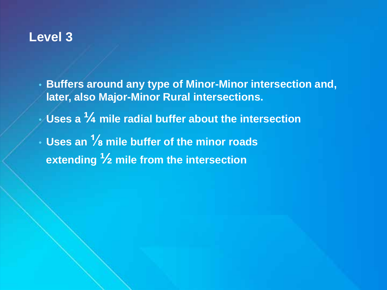• **Buffers around any type of Minor-Minor intersection and, later, also Major-Minor Rural intersections.** • **Uses a ¼ mile radial buffer about the intersection** • **Uses an ⅛ mile buffer of the minor roads extending ½ mile from the intersection**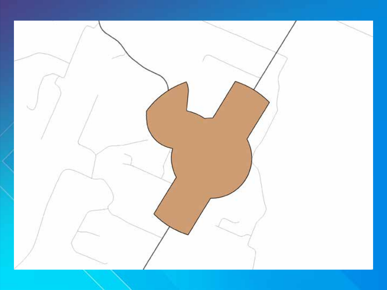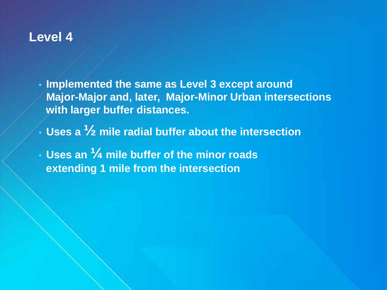- **Implemented the same as Level 3 except around Major-Major and, later, Major-Minor Urban intersections with larger buffer distances.**
- **Uses a ½ mile radial buffer about the intersection**
- **Uses an ¼ mile buffer of the minor roads extending 1 mile from the intersection**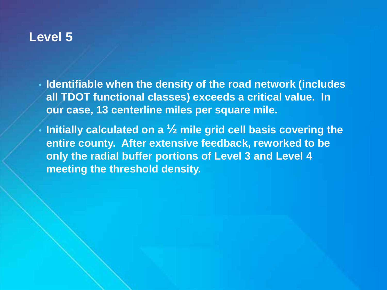• **Identifiable when the density of the road network (includes all TDOT functional classes) exceeds a critical value. In our case, 13 centerline miles per square mile.**

• **Initially calculated on a ½ mile grid cell basis covering the entire county. After extensive feedback, reworked to be only the radial buffer portions of Level 3 and Level 4 meeting the threshold density.**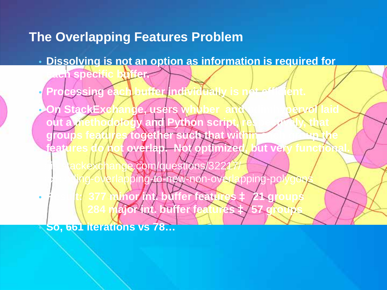### **The Overlapping Features Problem**

- **Dissolving is not an option as information is required for**
- **Processing each buffer individually is not efficient.**
- **On StackExchange, users whuber and ndimhypervol laid**  out a methodology and Python script, respectively, that **groups features together such that within the lattice of the lattice of the state**
- **features do not overlap. Not optimized, but very functional.**
	- /quest exploring-overlapping-to-new-non-overlapping-polygons
- **Result: 377 minor int. buffer features** à **21 groups 284 major int. buffer features** à **57 groups**

• **So, 661 iterations vs 78…**

**each specific buffer.**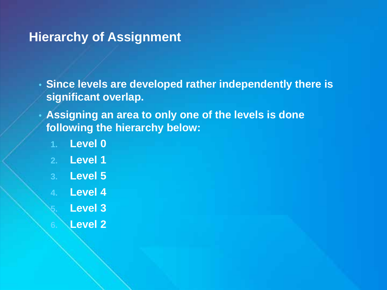### **Hierarchy of Assignment**

• **Since levels are developed rather independently there is significant overlap.** 

- **Assigning an area to only one of the levels is done following the hierarchy below:**
	- **1. Level 0**
	- **2. Level 1**
	- **3. Level 5**
	- **4. Level 4**
		- **5. Level 3**
	- **6. Level 2**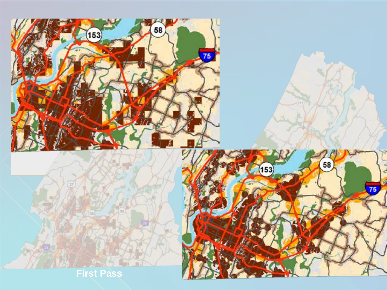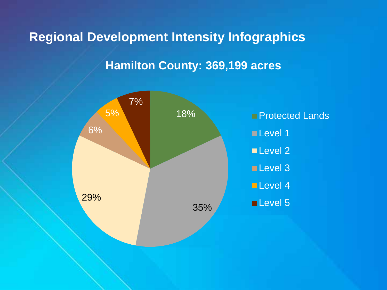### **Regional Development Intensity Infographics**

### **Hamilton County: 369,199 acres**

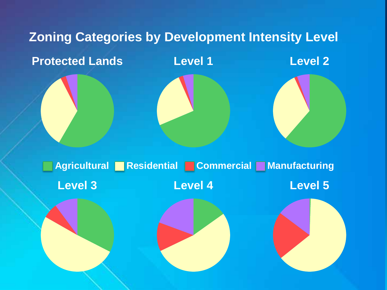### **Zoning Categories by Development Intensity Level Protected Lands Level 1**

**Level 2**

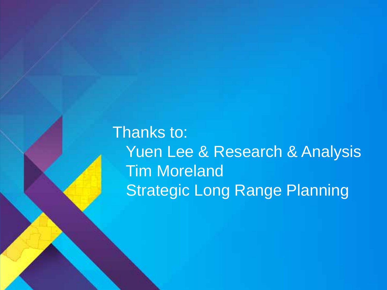Thanks to: Yuen Lee & Research & Analysis Tim Moreland Strategic Long Range Planning